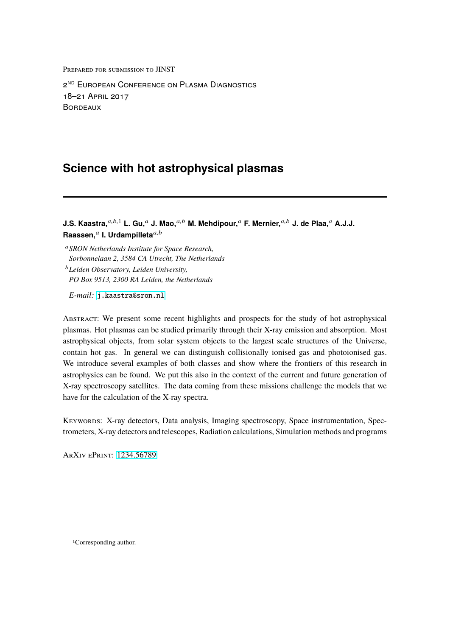Prepared for submission to JINST

2<sup>nd</sup> European Conference on Plasma Diagnostics 18–21 April 2017 **BORDEAUX** 

# **Science with hot astrophysical plasmas**

**J.S. Kaastra,**a,b,<sup>1</sup> **L. Gu,**<sup>a</sup> **J. Mao,**a,<sup>b</sup> **M. Mehdipour,**<sup>a</sup> **F. Mernier,**a,<sup>b</sup> **J. de Plaa,**<sup>a</sup> **A.J.J.** Raassen, $\phantom{i}^a$  I. Urdampilleta $\phantom{i}^{a,b}$ 

<sup>a</sup>*SRON Netherlands Institute for Space Research, Sorbonnelaan 2, 3584 CA Utrecht, The Netherlands*

<sup>b</sup>*Leiden Observatory, Leiden University, PO Box 9513, 2300 RA Leiden, the Netherlands*

*E-mail:* [j.kaastra@sron.nl](mailto:j.kaastra@sron.nl)

Abstract: We present some recent highlights and prospects for the study of hot astrophysical plasmas. Hot plasmas can be studied primarily through their X-ray emission and absorption. Most astrophysical objects, from solar system objects to the largest scale structures of the Universe, contain hot gas. In general we can distinguish collisionally ionised gas and photoionised gas. We introduce several examples of both classes and show where the frontiers of this research in astrophysics can be found. We put this also in the context of the current and future generation of X-ray spectroscopy satellites. The data coming from these missions challenge the models that we have for the calculation of the X-ray spectra.

KEYWORDS: X-ray detectors, Data analysis, Imaging spectroscopy, Space instrumentation, Spectrometers, X-ray detectors and telescopes, Radiation calculations, Simulation methods and programs

ArXiv ePrint: [1234.56789](http://arxiv.org/abs/1234.56789)

<sup>1</sup>Corresponding author.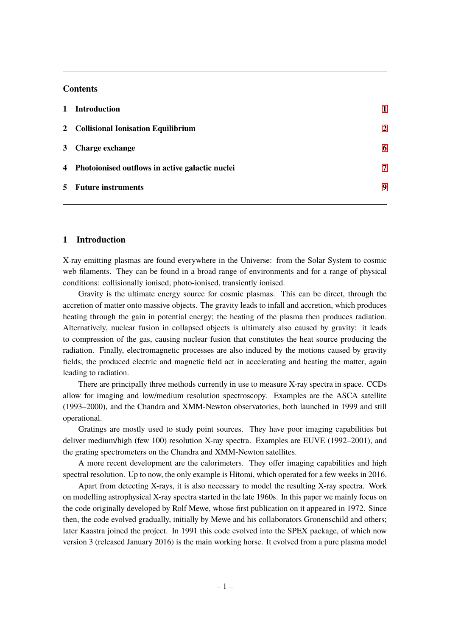# **Contents**

| 1 Introduction                                    |                |
|---------------------------------------------------|----------------|
| 2 Collisional Ionisation Equilibrium              | $\overline{2}$ |
| 3 Charge exchange                                 | 6              |
| 4 Photoionised outflows in active galactic nuclei | 7              |
| 5 Future instruments                              | 9              |
|                                                   |                |

# <span id="page-1-0"></span>**1 Introduction**

X-ray emitting plasmas are found everywhere in the Universe: from the Solar System to cosmic web filaments. They can be found in a broad range of environments and for a range of physical conditions: collisionally ionised, photo-ionised, transiently ionised.

Gravity is the ultimate energy source for cosmic plasmas. This can be direct, through the accretion of matter onto massive objects. The gravity leads to infall and accretion, which produces heating through the gain in potential energy; the heating of the plasma then produces radiation. Alternatively, nuclear fusion in collapsed objects is ultimately also caused by gravity: it leads to compression of the gas, causing nuclear fusion that constitutes the heat source producing the radiation. Finally, electromagnetic processes are also induced by the motions caused by gravity fields; the produced electric and magnetic field act in accelerating and heating the matter, again leading to radiation.

There are principally three methods currently in use to measure X-ray spectra in space. CCDs allow for imaging and low/medium resolution spectroscopy. Examples are the ASCA satellite (1993–2000), and the Chandra and XMM-Newton observatories, both launched in 1999 and still operational.

Gratings are mostly used to study point sources. They have poor imaging capabilities but deliver medium/high (few 100) resolution X-ray spectra. Examples are EUVE (1992–2001), and the grating spectrometers on the Chandra and XMM-Newton satellites.

A more recent development are the calorimeters. They offer imaging capabilities and high spectral resolution. Up to now, the only example is Hitomi, which operated for a few weeks in 2016.

Apart from detecting X-rays, it is also necessary to model the resulting X-ray spectra. Work on modelling astrophysical X-ray spectra started in the late 1960s. In this paper we mainly focus on the code originally developed by Rolf Mewe, whose first publication on it appeared in 1972. Since then, the code evolved gradually, initially by Mewe and his collaborators Gronenschild and others; later Kaastra joined the project. In 1991 this code evolved into the SPEX package, of which now version 3 (released January 2016) is the main working horse. It evolved from a pure plasma model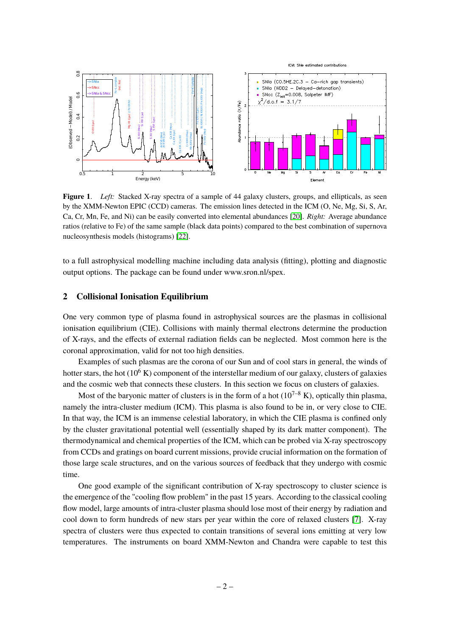

<span id="page-2-1"></span>**Figure 1**. *Left:* Stacked X-ray spectra of a sample of 44 galaxy clusters, groups, and ellipticals, as seen by the XMM-Newton EPIC (CCD) cameras. The emission lines detected in the ICM (O, Ne, Mg, Si, S, Ar, Ca, Cr, Mn, Fe, and Ni) can be easily converted into elemental abundances [\[20\]](#page-11-0). *Right:* Average abundance ratios (relative to Fe) of the same sample (black data points) compared to the best combination of supernova nucleosynthesis models (histograms) [\[22\]](#page-11-1).

to a full astrophysical modelling machine including data analysis (fitting), plotting and diagnostic output options. The package can be found under www.sron.nl/spex.

## <span id="page-2-0"></span>**2 Collisional Ionisation Equilibrium**

One very common type of plasma found in astrophysical sources are the plasmas in collisional ionisation equilibrium (CIE). Collisions with mainly thermal electrons determine the production of X-rays, and the effects of external radiation fields can be neglected. Most common here is the coronal approximation, valid for not too high densities.

Examples of such plasmas are the corona of our Sun and of cool stars in general, the winds of hotter stars, the hot  $(10^6 \text{ K})$  component of the interstellar medium of our galaxy, clusters of galaxies and the cosmic web that connects these clusters. In this section we focus on clusters of galaxies.

Most of the baryonic matter of clusters is in the form of a hot  $(10^{7-8} \text{ K})$ , optically thin plasma, namely the intra-cluster medium (ICM). This plasma is also found to be in, or very close to CIE. In that way, the ICM is an immense celestial laboratory, in which the CIE plasma is confined only by the cluster gravitational potential well (essentially shaped by its dark matter component). The thermodynamical and chemical properties of the ICM, which can be probed via X-ray spectroscopy from CCDs and gratings on board current missions, provide crucial information on the formation of those large scale structures, and on the various sources of feedback that they undergo with cosmic time.

One good example of the significant contribution of X-ray spectroscopy to cluster science is the emergence of the "cooling flow problem" in the past 15 years. According to the classical cooling flow model, large amounts of intra-cluster plasma should lose most of their energy by radiation and cool down to form hundreds of new stars per year within the core of relaxed clusters [\[7\]](#page-10-0). X-ray spectra of clusters were thus expected to contain transitions of several ions emitting at very low temperatures. The instruments on board XMM-Newton and Chandra were capable to test this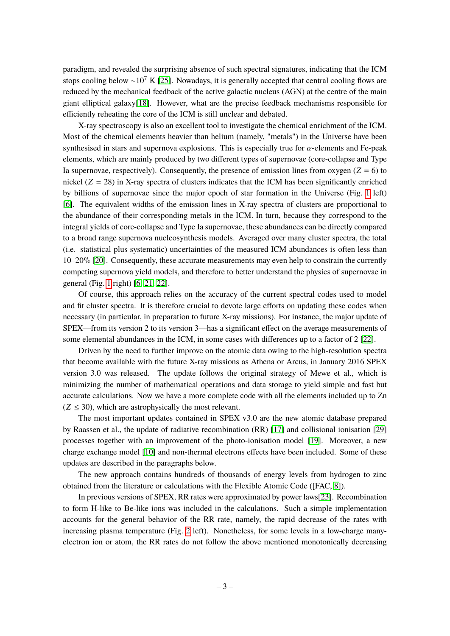paradigm, and revealed the surprising absence of such spectral signatures, indicating that the ICM stops cooling below  $\sim 10^7$  K [\[25\]](#page-11-2). Nowadays, it is generally accepted that central cooling flows are reduced by the mechanical feedback of the active galactic nucleus (AGN) at the centre of the main giant elliptical galaxy[\[18\]](#page-11-3). However, what are the precise feedback mechanisms responsible for efficiently reheating the core of the ICM is still unclear and debated.

X-ray spectroscopy is also an excellent tool to investigate the chemical enrichment of the ICM. Most of the chemical elements heavier than helium (namely, "metals") in the Universe have been synthesised in stars and supernova explosions. This is especially true for  $\alpha$ -elements and Fe-peak elements, which are mainly produced by two different types of supernovae (core-collapse and Type Ia supernovae, respectively). Consequently, the presence of emission lines from oxygen ( $Z = 6$ ) to nickel  $(Z = 28)$  in X-ray spectra of clusters indicates that the ICM has been significantly enriched by billions of supernovae since the major epoch of star formation in the Universe (Fig. [1](#page-2-1) left) [\[6\]](#page-10-1). The equivalent widths of the emission lines in X-ray spectra of clusters are proportional to the abundance of their corresponding metals in the ICM. In turn, because they correspond to the integral yields of core-collapse and Type Ia supernovae, these abundances can be directly compared to a broad range supernova nucleosynthesis models. Averaged over many cluster spectra, the total (i.e. statistical plus systematic) uncertainties of the measured ICM abundances is often less than 10–20% [\[20\]](#page-11-0). Consequently, these accurate measurements may even help to constrain the currently competing supernova yield models, and therefore to better understand the physics of supernovae in general (Fig. [1](#page-2-1) right) [\[6,](#page-10-1) [21,](#page-11-4) [22\]](#page-11-1).

Of course, this approach relies on the accuracy of the current spectral codes used to model and fit cluster spectra. It is therefore crucial to devote large efforts on updating these codes when necessary (in particular, in preparation to future X-ray missions). For instance, the major update of SPEX—from its version 2 to its version 3—has a significant effect on the average measurements of some elemental abundances in the ICM, in some cases with differences up to a factor of 2 [\[22\]](#page-11-1).

Driven by the need to further improve on the atomic data owing to the high-resolution spectra that become available with the future X-ray missions as Athena or Arcus, in January 2016 SPEX version 3.0 was released. The update follows the original strategy of Mewe et al., which is minimizing the number of mathematical operations and data storage to yield simple and fast but accurate calculations. Now we have a more complete code with all the elements included up to Zn  $(Z \leq 30)$ , which are astrophysically the most relevant.

The most important updates contained in SPEX v3.0 are the new atomic database prepared by Raassen et al., the update of radiative recombination (RR) [\[17\]](#page-11-5) and collisional ionisation [\[29\]](#page-11-6) processes together with an improvement of the photo-ionisation model [\[19\]](#page-11-7). Moreover, a new charge exchange model [\[10\]](#page-10-2) and non-thermal electrons effects have been included. Some of these updates are described in the paragraphs below.

The new approach contains hundreds of thousands of energy levels from hydrogen to zinc obtained from the literature or calculations with the Flexible Atomic Code ([FAC, [8\]](#page-10-3)).

In previous versions of SPEX, RR rates were approximated by power laws[\[23\]](#page-11-8). Recombination to form H-like to Be-like ions was included in the calculations. Such a simple implementation accounts for the general behavior of the RR rate, namely, the rapid decrease of the rates with increasing plasma temperature (Fig. [2](#page-4-0) left). Nonetheless, for some levels in a low-charge manyelectron ion or atom, the RR rates do not follow the above mentioned monotonically decreasing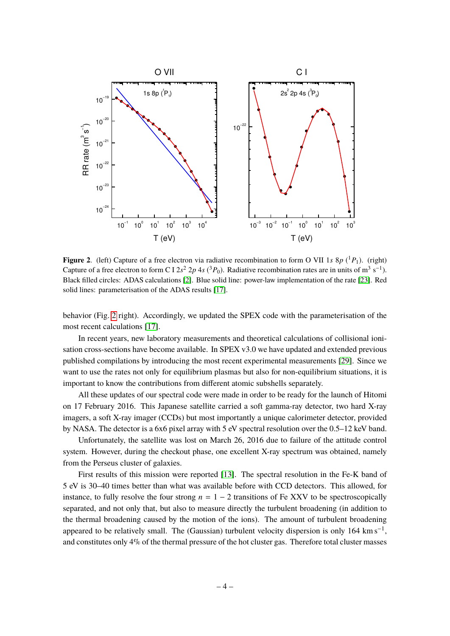

<span id="page-4-0"></span>**Figure 2**. (left) Capture of a free electron via radiative recombination to form O VII 1*s* 8*p* ( <sup>1</sup>*P*1). (right) Capture of a free electron to form C I  $2s^2 2p 4s ({}^3P_0)$ . Radiative recombination rates are in units of m<sup>3</sup> s<sup>-1</sup>). Black filled circles: ADAS calculations [\[2\]](#page-10-4). Blue solid line: power-law implementation of the rate [\[23\]](#page-11-8). Red solid lines: parameterisation of the ADAS results [\[17\]](#page-11-5).

behavior (Fig. [2](#page-4-0) right). Accordingly, we updated the SPEX code with the parameterisation of the most recent calculations [\[17\]](#page-11-5).

In recent years, new laboratory measurements and theoretical calculations of collisional ionisation cross-sections have become available. In SPEX v3.0 we have updated and extended previous published compilations by introducing the most recent experimental measurements [\[29\]](#page-11-6). Since we want to use the rates not only for equilibrium plasmas but also for non-equilibrium situations, it is important to know the contributions from different atomic subshells separately.

All these updates of our spectral code were made in order to be ready for the launch of Hitomi on 17 February 2016. This Japanese satellite carried a soft gamma-ray detector, two hard X-ray imagers, a soft X-ray imager (CCDs) but most importantly a unique calorimeter detector, provided by NASA. The detector is a 6x6 pixel array with 5 eV spectral resolution over the 0.5–12 keV band.

Unfortunately, the satellite was lost on March 26, 2016 due to failure of the attitude control system. However, during the checkout phase, one excellent X-ray spectrum was obtained, namely from the Perseus cluster of galaxies.

First results of this mission were reported [\[13\]](#page-11-9). The spectral resolution in the Fe-K band of 5 eV is 30–40 times better than what was available before with CCD detectors. This allowed, for instance, to fully resolve the four strong  $n = 1 - 2$  transitions of Fe XXV to be spectroscopically separated, and not only that, but also to measure directly the turbulent broadening (in addition to the thermal broadening caused by the motion of the ions). The amount of turbulent broadening appeared to be relatively small. The (Gaussian) turbulent velocity dispersion is only 164 km s<sup>-1</sup>, and constitutes only 4% of the thermal pressure of the hot cluster gas. Therefore total cluster masses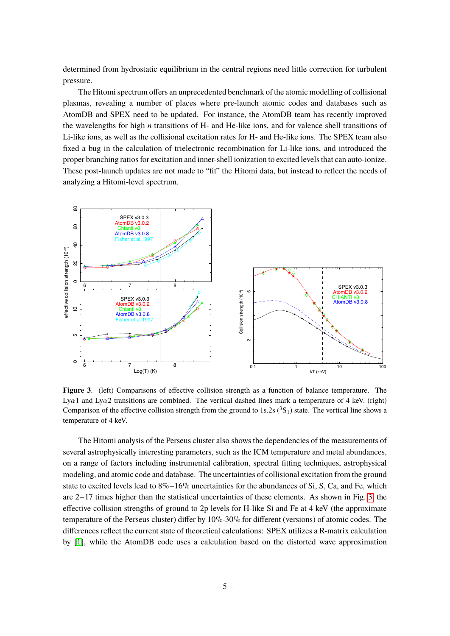determined from hydrostatic equilibrium in the central regions need little correction for turbulent pressure.

The Hitomi spectrum offers an unprecedented benchmark of the atomic modelling of collisional plasmas, revealing a number of places where pre-launch atomic codes and databases such as AtomDB and SPEX need to be updated. For instance, the AtomDB team has recently improved the wavelengths for high *n* transitions of H- and He-like ions, and for valence shell transitions of Li-like ions, as well as the collisional excitation rates for H- and He-like ions. The SPEX team also fixed a bug in the calculation of trielectronic recombination for Li-like ions, and introduced the proper branching ratios for excitation and inner-shell ionization to excited levels that can auto-ionize. These post-launch updates are not made to "fit" the Hitomi data, but instead to reflect the needs of analyzing a Hitomi-level spectrum.



<span id="page-5-0"></span>**Figure 3**. (left) Comparisons of effective collision strength as a function of balance temperature. The Lya1 and Lya2 transitions are combined. The vertical dashed lines mark a temperature of 4 keV. (right) Comparison of the effective collision strength from the ground to 1s.2s ( ${}^{3}S_{1}$ ) state. The vertical line shows a temperature of 4 keV.

The Hitomi analysis of the Perseus cluster also shows the dependencies of the measurements of several astrophysically interesting parameters, such as the ICM temperature and metal abundances, on a range of factors including instrumental calibration, spectral fitting techniques, astrophysical modeling, and atomic code and database. The uncertainties of collisional excitation from the ground state to excited levels lead to 8%−16% uncertainties for the abundances of Si, S, Ca, and Fe, which are 2−17 times higher than the statistical uncertainties of these elements. As shown in Fig. [3,](#page-5-0) the effective collision strengths of ground to 2p levels for H-like Si and Fe at 4 keV (the approximate temperature of the Perseus cluster) differ by 10%-30% for different (versions) of atomic codes. The differences reflect the current state of theoretical calculations: SPEX utilizes a R-matrix calculation by [\[1\]](#page-10-5), while the AtomDB code uses a calculation based on the distorted wave approximation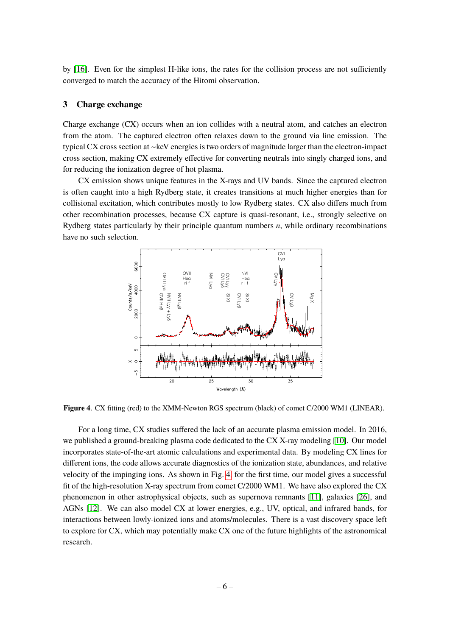by [\[16\]](#page-11-10). Even for the simplest H-like ions, the rates for the collision process are not sufficiently converged to match the accuracy of the Hitomi observation.

# <span id="page-6-0"></span>**3 Charge exchange**

Charge exchange (CX) occurs when an ion collides with a neutral atom, and catches an electron from the atom. The captured electron often relaxes down to the ground via line emission. The typical CX cross section at ∼keV energies is two orders of magnitude larger than the electron-impact cross section, making CX extremely effective for converting neutrals into singly charged ions, and for reducing the ionization degree of hot plasma.

CX emission shows unique features in the X-rays and UV bands. Since the captured electron is often caught into a high Rydberg state, it creates transitions at much higher energies than for collisional excitation, which contributes mostly to low Rydberg states. CX also differs much from other recombination processes, because CX capture is quasi-resonant, i.e., strongly selective on Rydberg states particularly by their principle quantum numbers *n*, while ordinary recombinations have no such selection.



<span id="page-6-1"></span>**Figure 4**. CX fitting (red) to the XMM-Newton RGS spectrum (black) of comet C/2000 WM1 (LINEAR).

For a long time, CX studies suffered the lack of an accurate plasma emission model. In 2016, we published a ground-breaking plasma code dedicated to the CX X-ray modeling [\[10\]](#page-10-2). Our model incorporates state-of-the-art atomic calculations and experimental data. By modeling CX lines for different ions, the code allows accurate diagnostics of the ionization state, abundances, and relative velocity of the impinging ions. As shown in Fig. [4,](#page-6-1) for the first time, our model gives a successful fit of the high-resolution X-ray spectrum from comet C/2000 WM1. We have also explored the CX phenomenon in other astrophysical objects, such as supernova remnants [\[11\]](#page-10-6), galaxies [\[26\]](#page-11-11), and AGNs [\[12\]](#page-11-12). We can also model CX at lower energies, e.g., UV, optical, and infrared bands, for interactions between lowly-ionized ions and atoms/molecules. There is a vast discovery space left to explore for CX, which may potentially make CX one of the future highlights of the astronomical research.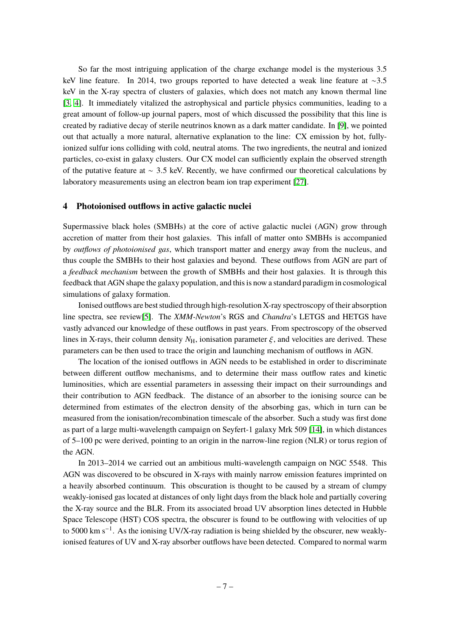So far the most intriguing application of the charge exchange model is the mysterious 3.5 keV line feature. In 2014, two groups reported to have detected a weak line feature at ∼3.5 keV in the X-ray spectra of clusters of galaxies, which does not match any known thermal line [\[3,](#page-10-7) [4\]](#page-10-8). It immediately vitalized the astrophysical and particle physics communities, leading to a great amount of follow-up journal papers, most of which discussed the possibility that this line is created by radiative decay of sterile neutrinos known as a dark matter candidate. In [\[9\]](#page-10-9), we pointed out that actually a more natural, alternative explanation to the line: CX emission by hot, fullyionized sulfur ions colliding with cold, neutral atoms. The two ingredients, the neutral and ionized particles, co-exist in galaxy clusters. Our CX model can sufficiently explain the observed strength of the putative feature at <sup>∼</sup> <sup>3</sup>.<sup>5</sup> keV. Recently, we have confirmed our theoretical calculations by laboratory measurements using an electron beam ion trap experiment [\[27\]](#page-11-13).

### <span id="page-7-0"></span>**4 Photoionised outflows in active galactic nuclei**

Supermassive black holes (SMBHs) at the core of active galactic nuclei (AGN) grow through accretion of matter from their host galaxies. This infall of matter onto SMBHs is accompanied by *outflows of photoionised gas*, which transport matter and energy away from the nucleus, and thus couple the SMBHs to their host galaxies and beyond. These outflows from AGN are part of a *feedback mechanism* between the growth of SMBHs and their host galaxies. It is through this feedback that AGN shape the galaxy population, and this is now a standard paradigm in cosmological simulations of galaxy formation.

Ionised outflows are best studied through high-resolution X-ray spectroscopy of their absorption line spectra, see review[\[5\]](#page-10-10). The *XMM-Newton*'s RGS and *Chandra*'s LETGS and HETGS have vastly advanced our knowledge of these outflows in past years. From spectroscopy of the observed lines in X-rays, their column density  $N_{\rm H}$ , ionisation parameter  $\xi$ , and velocities are derived. These parameters can be then used to trace the origin and launching mechanism of outflows in AGN.

The location of the ionised outflows in AGN needs to be established in order to discriminate between different outflow mechanisms, and to determine their mass outflow rates and kinetic luminosities, which are essential parameters in assessing their impact on their surroundings and their contribution to AGN feedback. The distance of an absorber to the ionising source can be determined from estimates of the electron density of the absorbing gas, which in turn can be measured from the ionisation/recombination timescale of the absorber. Such a study was first done as part of a large multi-wavelength campaign on Seyfert-1 galaxy Mrk 509 [\[14\]](#page-11-14), in which distances of 5–100 pc were derived, pointing to an origin in the narrow-line region (NLR) or torus region of the AGN.

In 2013–2014 we carried out an ambitious multi-wavelength campaign on NGC 5548. This AGN was discovered to be obscured in X-rays with mainly narrow emission features imprinted on a heavily absorbed continuum. This obscuration is thought to be caused by a stream of clumpy weakly-ionised gas located at distances of only light days from the black hole and partially covering the X-ray source and the BLR. From its associated broad UV absorption lines detected in Hubble Space Telescope (HST) COS spectra, the obscurer is found to be outflowing with velocities of up to 5000 km s−<sup>1</sup> . As the ionising UV/X-ray radiation is being shielded by the obscurer, new weaklyionised features of UV and X-ray absorber outflows have been detected. Compared to normal warm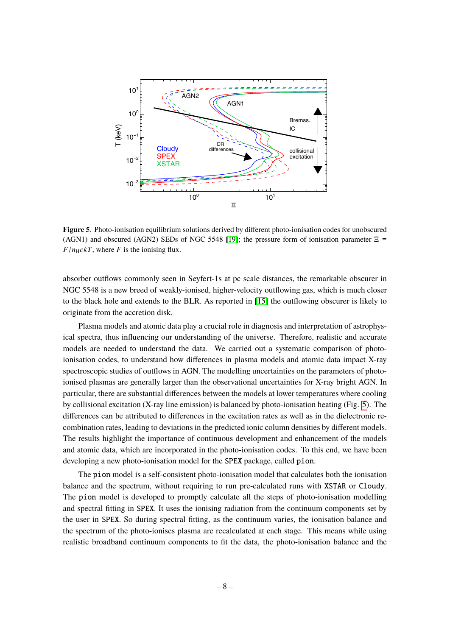

<span id="page-8-0"></span>**Figure 5**. Photo-ionisation equilibrium solutions derived by different photo-ionisation codes for unobscured (AGN1) and obscured (AGN2) SEDs of NGC 5548 [\[19\]](#page-11-7); the pressure form of ionisation parameter  $\Xi$  =  $F/n_HckT$ , where *F* is the ionising flux.

absorber outflows commonly seen in Seyfert-1s at pc scale distances, the remarkable obscurer in NGC 5548 is a new breed of weakly-ionised, higher-velocity outflowing gas, which is much closer to the black hole and extends to the BLR. As reported in [\[15\]](#page-11-15) the outflowing obscurer is likely to originate from the accretion disk.

Plasma models and atomic data play a crucial role in diagnosis and interpretation of astrophysical spectra, thus influencing our understanding of the universe. Therefore, realistic and accurate models are needed to understand the data. We carried out a systematic comparison of photoionisation codes, to understand how differences in plasma models and atomic data impact X-ray spectroscopic studies of outflows in AGN. The modelling uncertainties on the parameters of photoionised plasmas are generally larger than the observational uncertainties for X-ray bright AGN. In particular, there are substantial differences between the models at lower temperatures where cooling by collisional excitation (X-ray line emission) is balanced by photo-ionisation heating (Fig. [5\)](#page-8-0). The differences can be attributed to differences in the excitation rates as well as in the dielectronic recombination rates, leading to deviations in the predicted ionic column densities by different models. The results highlight the importance of continuous development and enhancement of the models and atomic data, which are incorporated in the photo-ionisation codes. To this end, we have been developing a new photo-ionisation model for the SPEX package, called pion.

The pion model is a self-consistent photo-ionisation model that calculates both the ionisation balance and the spectrum, without requiring to run pre-calculated runs with XSTAR or Cloudy. The pion model is developed to promptly calculate all the steps of photo-ionisation modelling and spectral fitting in SPEX. It uses the ionising radiation from the continuum components set by the user in SPEX. So during spectral fitting, as the continuum varies, the ionisation balance and the spectrum of the photo-ionises plasma are recalculated at each stage. This means while using realistic broadband continuum components to fit the data, the photo-ionisation balance and the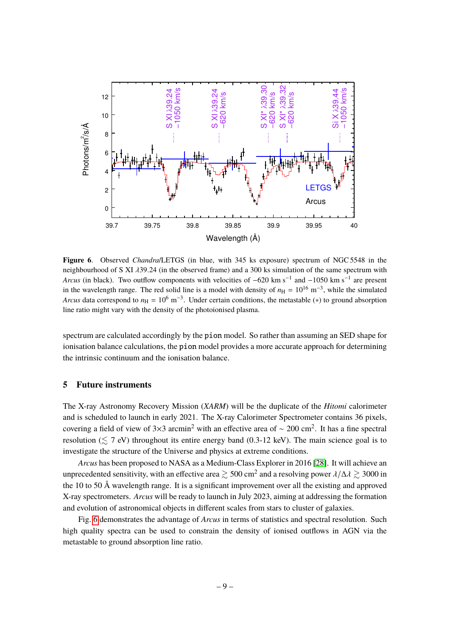

<span id="page-9-1"></span>**Figure 6**. Observed *Chandra*/LETGS (in blue, with 345 ks exposure) spectrum of NGC 5548 in the neighbourhood of S XI λ39.<sup>24</sup> (in the observed frame) and a 300 ks simulation of the same spectrum with *Arcus* (in black). Two outflow components with velocities of  $-620 \text{ km s}^{-1}$  and  $-1050 \text{ km s}^{-1}$  are present in the wavelength range. The red solid line is a model with density of  $n_{\rm H} = 10^{16} \text{ m}^{-3}$ , while the simulated *Arcus* data correspond to  $n_H = 10^6 \text{ m}^{-3}$ . Under certain conditions, the metastable (\*) to ground absorption line ratio might vary with the density of the photoionised plasma.

spectrum are calculated accordingly by the pion model. So rather than assuming an SED shape for ionisation balance calculations, the pion model provides a more accurate approach for determining the intrinsic continuum and the ionisation balance.

## <span id="page-9-0"></span>**5 Future instruments**

The X-ray Astronomy Recovery Mission (*XARM*) will be the duplicate of the *Hitomi* calorimeter and is scheduled to launch in early 2021. The X-ray Calorimeter Spectrometer contains 36 pixels, covering a field of view of 3×3 arcmin<sup>2</sup> with an effective area of ~ 200 cm<sup>2</sup>. It has a fine spectral resolution  $(\leq 7 \text{ eV})$  throughout its entire energy band (0.3-12 keV). The main science goal is to investigate the structure of the Universe and physics at extreme conditions.

*Arcus* has been proposed to NASA as a Medium-Class Explorer in 2016 [\[28\]](#page-11-16). It will achieve an unprecedented sensitivity, with an effective area  $\gtrsim 500 \text{ cm}^2$  and a resolving power  $\lambda/\Delta\lambda \gtrsim 3000$  in the 10 to 50 Å wevelength gape. It is a significant improvement even all the evicting and approved the 10 to 50 Å wavelength range. It is a significant improvement over all the existing and approved X-ray spectrometers. *Arcus* will be ready to launch in July 2023, aiming at addressing the formation and evolution of astronomical objects in different scales from stars to cluster of galaxies.

Fig. [6](#page-9-1) demonstrates the advantage of *Arcus* in terms of statistics and spectral resolution. Such high quality spectra can be used to constrain the density of ionised outflows in AGN via the metastable to ground absorption line ratio.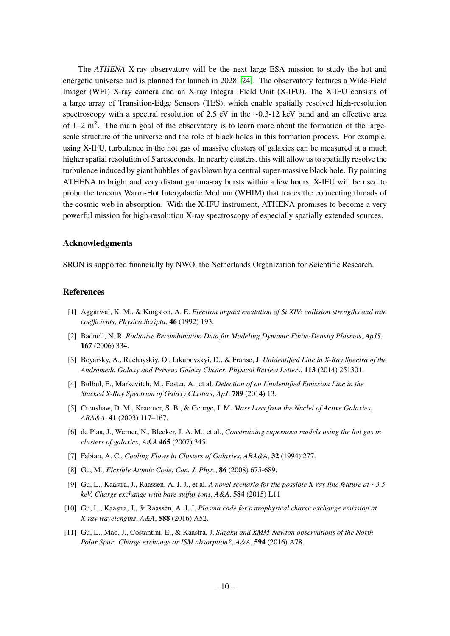The *ATHENA* X-ray observatory will be the next large ESA mission to study the hot and energetic universe and is planned for launch in 2028 [\[24\]](#page-11-17). The observatory features a Wide-Field Imager (WFI) X-ray camera and an X-ray Integral Field Unit (X-IFU). The X-IFU consists of a large array of Transition-Edge Sensors (TES), which enable spatially resolved high-resolution spectroscopy with a spectral resolution of 2.5 eV in the ∼0.3-12 keV band and an effective area of  $1-2$  m<sup>2</sup>. The main goal of the observatory is to learn more about the formation of the largescale structure of the universe and the role of black holes in this formation process. For example, using X-IFU, turbulence in the hot gas of massive clusters of galaxies can be measured at a much higher spatial resolution of 5 arcseconds. In nearby clusters, this will allow us to spatially resolve the turbulence induced by giant bubbles of gas blown by a central super-massive black hole. By pointing ATHENA to bright and very distant gamma-ray bursts within a few hours, X-IFU will be used to probe the teneous Warm-Hot Intergalactic Medium (WHIM) that traces the connecting threads of the cosmic web in absorption. With the X-IFU instrument, ATHENA promises to become a very powerful mission for high-resolution X-ray spectroscopy of especially spatially extended sources.

#### **Acknowledgments**

SRON is supported financially by NWO, the Netherlands Organization for Scientific Research.

#### **References**

- <span id="page-10-5"></span>[1] Aggarwal, K. M., & Kingston, A. E. *Electron impact excitation of Si XIV: collision strengths and rate coefficients*, *Physica Scripta*, **46** (1992) 193.
- <span id="page-10-4"></span>[2] Badnell, N. R. *Radiative Recombination Data for Modeling Dynamic Finite-Density Plasmas*, *ApJS*, **167** (2006) 334.
- <span id="page-10-7"></span>[3] Boyarsky, A., Ruchayskiy, O., Iakubovskyi, D., & Franse, J. *Unidentified Line in X-Ray Spectra of the Andromeda Galaxy and Perseus Galaxy Cluster*, *Physical Review Letters*, **113** (2014) 251301.
- <span id="page-10-8"></span>[4] Bulbul, E., Markevitch, M., Foster, A., et al. *Detection of an Unidentified Emission Line in the Stacked X-Ray Spectrum of Galaxy Clusters*, *ApJ*, **789** (2014) 13.
- <span id="page-10-10"></span>[5] Crenshaw, D. M., Kraemer, S. B., & George, I. M. *Mass Loss from the Nuclei of Active Galaxies*, *ARA&A*, **41** (2003) 117–167.
- <span id="page-10-1"></span>[6] de Plaa, J., Werner, N., Bleeker, J. A. M., et al., *Constraining supernova models using the hot gas in clusters of galaxies*, *A&A* **465** (2007) 345.
- <span id="page-10-0"></span>[7] Fabian, A. C., *Cooling Flows in Clusters of Galaxies*, *ARA&A*, **32** (1994) 277.
- <span id="page-10-3"></span>[8] Gu, M., *Flexible Atomic Code*, *Can. J. Phys.*, **86** (2008) 675-689.
- <span id="page-10-9"></span>[9] Gu, L., Kaastra, J., Raassen, A. J. J., et al. *A novel scenario for the possible X-ray line feature at* ∼*3.5 keV. Charge exchange with bare sulfur ions*, *A&A*, **584** (2015) L11
- <span id="page-10-2"></span>[10] Gu, L., Kaastra, J., & Raassen, A. J. J. *Plasma code for astrophysical charge exchange emission at X-ray wavelengths*, *A&A*, **588** (2016) A52.
- <span id="page-10-6"></span>[11] Gu, L., Mao, J., Costantini, E., & Kaastra, J. *Suzaku and XMM-Newton observations of the North Polar Spur: Charge exchange or ISM absorption?*, *A&A*, **594** (2016) A78.